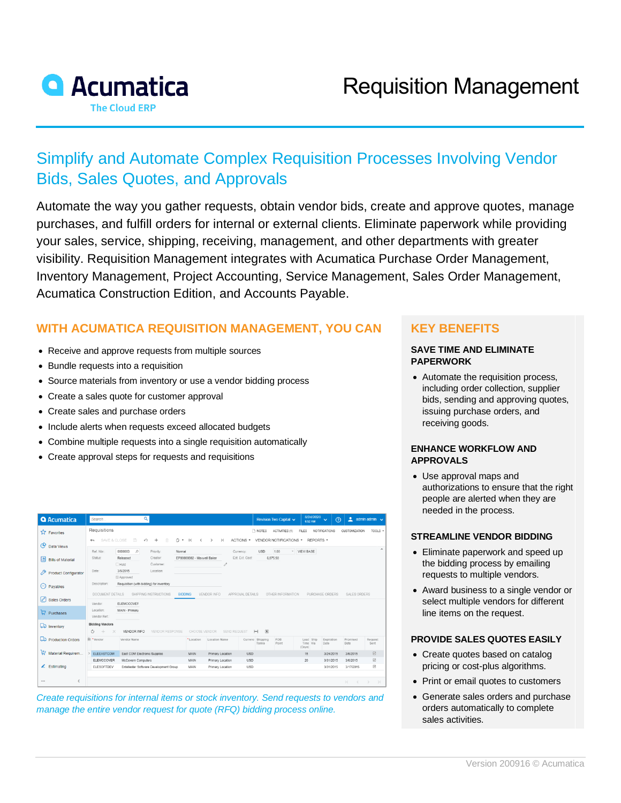

# Simplify and Automate Complex Requisition Processes Involving Vendor Bids, Sales Quotes, and Approvals

Automate the way you gather requests, obtain vendor bids, create and approve quotes, manage purchases, and fulfill orders for internal or external clients. Eliminate paperwork while providing your sales, service, shipping, receiving, management, and other departments with greater visibility. Requisition Management integrates with Acumatica Purchase Order Management, Inventory Management, Project Accounting, Service Management, Sales Order Management, Acumatica Construction Edition, and Accounts Payable.

# **WITH ACUMATICA REQUISITION MANAGEMENT, YOU CAN**

- Receive and approve requests from multiple sources
- Bundle requests into a requisition
- Source materials from inventory or use a vendor bidding process
- Create a sales quote for customer approval
- Create sales and purchase orders
- Include alerts when requests exceed allocated budgets
- Combine multiple requests into a single requisition automatically
- Create approval steps for requests and requisitions

| <b>Q</b> Acumatica               | Search                                                                                                                                                                           | Q                                                    |                            |                  |                                                | <b>Revision Two Capital ↓</b> | 8/24/2020<br>6:52 AM            | $\odot$<br>$\ddotmark$ |                                           | $\lambda$ admin admin $\lambda$ |  |
|----------------------------------|----------------------------------------------------------------------------------------------------------------------------------------------------------------------------------|------------------------------------------------------|----------------------------|------------------|------------------------------------------------|-------------------------------|---------------------------------|------------------------|-------------------------------------------|---------------------------------|--|
| <b>TA</b> Favorites              | Requisitions                                                                                                                                                                     |                                                      |                            |                  | Th NOTES                                       | ACTIVITIES (1)                | <b>FILES</b>                    | <b>NOTIFICATIONS</b>   | <b>CUSTOMIZATION</b>                      | TOOLS $\star$                   |  |
| ල<br>Data Views                  | n<br>SAVE & CLOSE<br>B<br>$\sqrt{2}$<br>面<br>$\mathsf{R}$<br>$^{+}$<br>$\hat{~}$<br>ACTIONS -<br>VENDOR NOTIFICATIONS · REPORTS ·<br>$\;$<br>$\rightarrow$<br>>1<br>$\leftarrow$ |                                                      |                            |                  |                                                |                               |                                 |                        |                                           |                                 |  |
|                                  | Ref. Nbr.                                                                                                                                                                        | 0000003<br>$\mathfrak{p}$<br>Priority:               | Normal                     |                  | <b>USD</b><br>Currency:                        | 1.00                          | v VIEW BASE                     |                        |                                           | $\hat{\phantom{a}}$             |  |
| 国<br><b>Bills of Material</b>    | Status:                                                                                                                                                                          | Released<br>Creator:<br>Customer:<br>Hold            | EP00000002 - Maxwell Baker | $\mathscr{O}$    | Est. Ext. Cost:                                | 6.075.50                      |                                 |                        |                                           |                                 |  |
| P<br><b>Product Configurator</b> | Date:                                                                                                                                                                            | 3/5/2015<br>Location:                                |                            |                  |                                                |                               |                                 |                        |                                           |                                 |  |
| Θ<br>Payables                    | Description:                                                                                                                                                                     | Approved<br>Requisition (with bidding) for inventory |                            |                  |                                                |                               |                                 |                        |                                           |                                 |  |
| $\varnothing$<br>Sales Orders    | DOCUMENT DETAILS<br>SHIPPING INSTRUCTIONS<br><b>BIDDING</b><br>VENDOR INFO<br>APPROVAL DETAILS<br>OTHER INFORMATION<br>PURCHASE ORDERS<br>SALES ORDERS                           |                                                      |                            |                  |                                                |                               |                                 |                        |                                           |                                 |  |
|                                  | Vendor:<br>Location:                                                                                                                                                             | ELEMCCOVEF<br>MAIN - Primary                         |                            |                  |                                                |                               |                                 |                        |                                           |                                 |  |
| $\overline{R}$ Purchases         | Vendor Ref.:                                                                                                                                                                     |                                                      |                            |                  |                                                |                               |                                 |                        |                                           |                                 |  |
| Inventory                        | <b>Bidding Vendors</b>                                                                                                                                                           |                                                      |                            |                  |                                                |                               |                                 |                        |                                           |                                 |  |
|                                  | Ö<br>$\frac{1}{2} \left( \frac{1}{2} \right) \left( \frac{1}{2} \right)$<br>$\times$                                                                                             | <b>VENDOR INFO</b><br>VENDOR RESPONSE                | CHOOSE VENDOR              | SEND REQUEST     | $\left  - \right $ $\left  \mathbf{x} \right $ |                               |                                 |                        |                                           |                                 |  |
| production Orders                | <b>R</b> *Vendor                                                                                                                                                                 | Vendor Name                                          | *Location                  | Location Name    | Currenc Shipping<br><b>Terms</b>               | FOB<br>Point                  | Lead Ship<br>Time Via<br>(Days) | Expiration<br>Date     | Promised<br>Date                          | Request<br>Sent                 |  |
| 亰<br>Material Requirem           | ELEEASTCOM                                                                                                                                                                       | East COM Electronic Supplies                         | <b>MAIN</b>                | Primary Location | <b>USD</b>                                     |                               | 15                              | 3/24/2015              | 3/6/2015                                  | $\boxdot$                       |  |
|                                  | ELEMCCOVER                                                                                                                                                                       | McCovern Computers                                   | MAIN                       | Primary Location | <b>USD</b>                                     |                               | 20                              | 3/31/2015              | 3/6/2015                                  | $\boxdot$                       |  |
| $\angle$ Estimating              | ELESOFTDEV                                                                                                                                                                       | Entellestar Software Development Group               | MAIN                       | Primary Location | <b>USD</b>                                     |                               |                                 | 3/31/2015              | 3/17/2015                                 | ☑                               |  |
|                                  |                                                                                                                                                                                  |                                                      |                            |                  |                                                |                               |                                 |                        |                                           |                                 |  |
| k.<br>                           |                                                                                                                                                                                  |                                                      |                            |                  |                                                |                               |                                 |                        | $  \langle \quad \langle \quad \rangle  $ | >1                              |  |

*Create requisitions for internal items or stock inventory. Send requests to vendors and manage the entire vendor request for quote (RFQ) bidding process online.*

## **KEY BENEFITS**

#### **SAVE TIME AND ELIMINATE PAPERWORK**

• Automate the requisition process, including order collection, supplier bids, sending and approving quotes, issuing purchase orders, and receiving goods.

### **ENHANCE WORKFLOW AND APPROVALS**

• Use approval maps and authorizations to ensure that the right people are alerted when they are needed in the process.

#### **STREAMLINE VENDOR BIDDING**

- Eliminate paperwork and speed up the bidding process by emailing requests to multiple vendors.
- Award business to a single vendor or select multiple vendors for different line items on the request.

#### **PROVIDE SALES QUOTES EASILY**

- Create quotes based on catalog pricing or cost-plus algorithms.
- Print or email quotes to customers
- Generate sales orders and purchase orders automatically to complete sales activities.